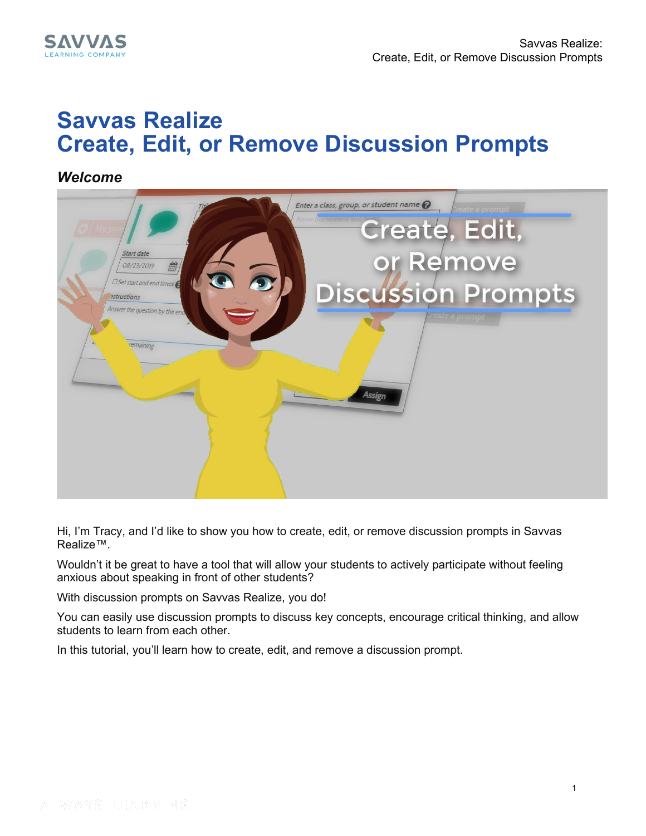

# **Savvas Realize Create, Edit, or Remove Discussion Prompts**

*Welcome*



Hi, I'm Tracy, and I'd like to show you how to create, edit, or remove discussion prompts in Savvas Realize™.

Wouldn't it be great to have a tool that will allow your students to actively participate without feeling anxious about speaking in front of other students?

With discussion prompts on Savvas Realize, you do!

You can easily use discussion prompts to discuss key concepts, encourage critical thinking, and allow students to learn from each other.

In this tutorial, you'll learn how to create, edit, and remove a discussion prompt.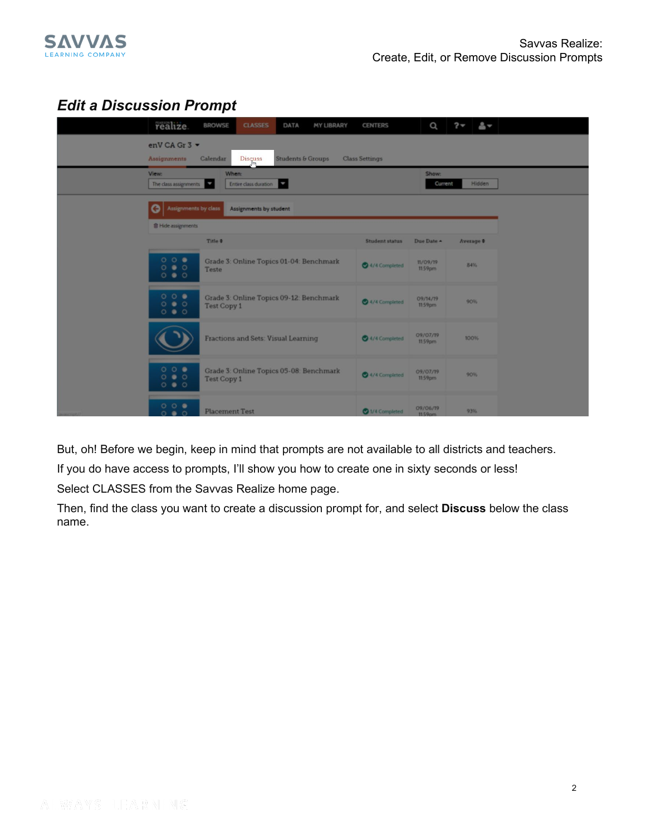

## *Edit a Discussion Prompt*

| realize.                                            | <b>BROWSE</b>                                    | <b>CLASSES</b><br>DATA                  | MY LIBRARY                   | <b>CENTERS</b>        | Q                   | $2 -$<br>$\sim$ |  |  |  |  |
|-----------------------------------------------------|--------------------------------------------------|-----------------------------------------|------------------------------|-----------------------|---------------------|-----------------|--|--|--|--|
| enV CA Gr 3 -<br>Assignments                        | Calendar                                         | Disçuss                                 | <b>Students &amp; Groups</b> | <b>Class Settings</b> |                     |                 |  |  |  |  |
| View:<br>The class assignments                      | <b>When:</b>                                     | Entire class duration                   |                              |                       | Show:<br>Current    | <b>Hidden</b>   |  |  |  |  |
| G<br>Assignments by class<br>Assignments by student |                                                  |                                         |                              |                       |                     |                 |  |  |  |  |
| <b>音 Hide assignments</b>                           |                                                  |                                         |                              |                       |                     |                 |  |  |  |  |
|                                                     | Title #                                          |                                         |                              | Student status        | Due Date +          | Average $\phi$  |  |  |  |  |
| 000<br>0 0 0<br>0 0 0                               | Grade 3: Online Topics 01-04: Benchmark<br>Teste |                                         |                              | 4/4 Completed         | 11/09/19<br>11.59pm | <b>B4%</b>      |  |  |  |  |
| 000<br>$\circ$ $\bullet$ $\circ$<br>0 0 0           | <b>Test Copy 1</b>                               | Grade 3: Online Topics 09-12: Benchmark |                              | 4/4 Completed         | 09/14/19<br>1159pm  | 90%             |  |  |  |  |
|                                                     |                                                  | Fractions and Sets: Visual Learning     |                              | 4/4 Completed         | 09/07/19<br>1159pm  | 100%            |  |  |  |  |
| 000<br>0 0 0<br>0 0 0                               | <b>Test Copy 1</b>                               | Grade 3: Online Topics 05-08: Benchmark |                              | 4/4 Completed         | 09/07/19<br>1159pm  | 90%             |  |  |  |  |
| 000<br>0 0 0                                        | <b>Placement Test</b>                            |                                         |                              | V4 Completed          | 09/06/19<br>1159pm  | 93%             |  |  |  |  |

But, oh! Before we begin, keep in mind that prompts are not available to all districts and teachers.

If you do have access to prompts, I'll show you how to create one in sixty seconds or less!

Select CLASSES from the Savvas Realize home page.

Then, find the class you want to create a discussion prompt for, and select **Discuss** below the class name.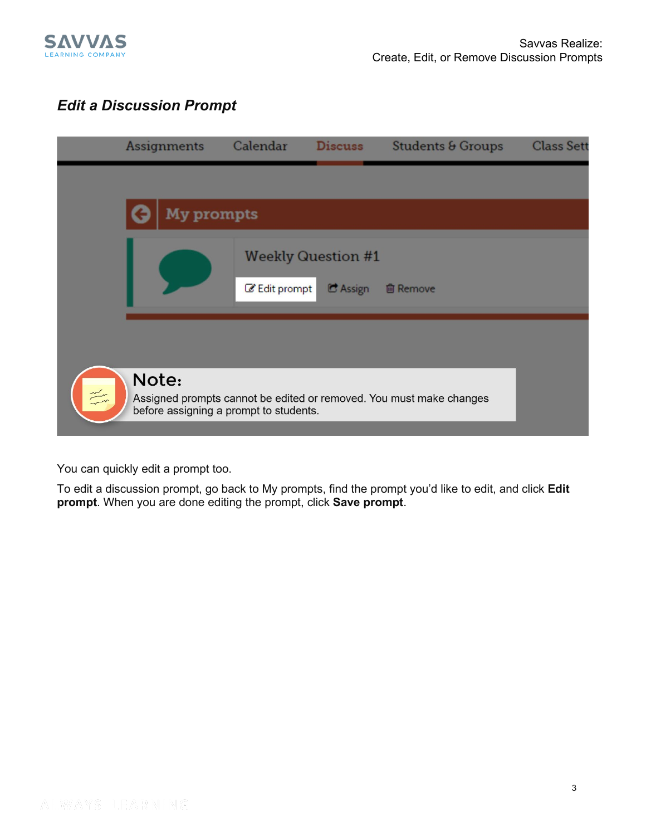

#### *Edit a Discussion Prompt*

|                  | <b>Assignments</b>                              | Calendar             | <b>Discuss</b>                        | Students & Groups                                                   | <b>Class Sett</b> |  |  |  |  |
|------------------|-------------------------------------------------|----------------------|---------------------------------------|---------------------------------------------------------------------|-------------------|--|--|--|--|
|                  |                                                 |                      |                                       |                                                                     |                   |  |  |  |  |
|                  | <b>My prompts</b>                               |                      |                                       |                                                                     |                   |  |  |  |  |
|                  |                                                 | <b>E</b> Edit prompt | <b>Weekly Question #1</b><br>C Assign | <b>■ Remove</b>                                                     |                   |  |  |  |  |
| $\sum_{i=1}^{n}$ | Note:<br>before assigning a prompt to students. |                      |                                       | Assigned prompts cannot be edited or removed. You must make changes |                   |  |  |  |  |
|                  |                                                 |                      |                                       |                                                                     |                   |  |  |  |  |

You can quickly edit a prompt too.

To edit a discussion prompt, go back to My prompts, find the prompt you'd like to edit, and click **Edit prompt**. When you are done editing the prompt, click **Save prompt**.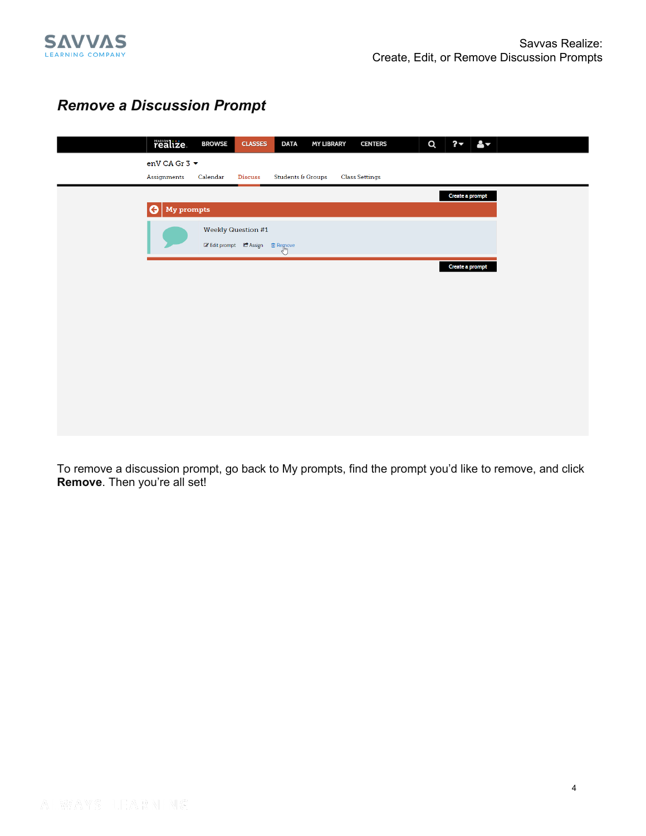

## *Remove a Discussion Prompt*

To remove a discussion prompt, go back to My prompts, find the prompt you'd like to remove, and click **Remove**. Then you're all set!